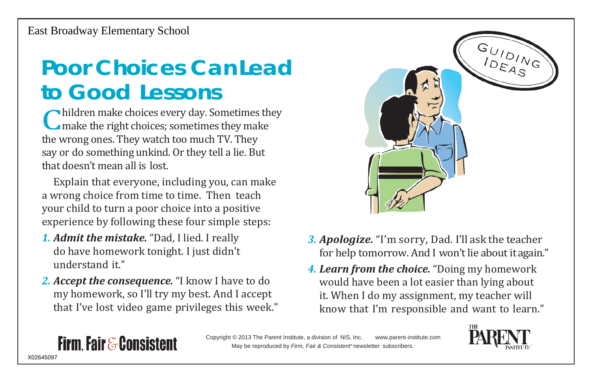#### **Poor Choices CanLead to Good Lessons**

Children make choices every day. Sometimes<br>they make the right choices; sometimes they mal<br>the wrong ones. They watch too much TV. They hildren make choices every day. Sometimes they make the right choices; sometimes they make say or do something unkind. Or they tell a lie. But that doesn't mean all is lost.

Explain that everyone, including you, can make a wrong choice from time to time. Then teach your child to turn a poor choice into a positive experience by following these four simple steps:

*1. Admit the mistake.* "Dad, I lied. I really do have homework tonight. I just didn't understand it."

**Firm Fair & Consistent** 

*2. Accept the consequence.* "I know I have to do my homework, so I'll try my best. And I accept that I've lost video game privileges this week."



- *3. Apologize.* "I'm sorry, Dad. I'll ask the teacher for help tomorrow. And I won't lie about itagain."
- *4. Learn from the choice.* "Doing my homework would have been a lot easier than lying about it. When I do my assignment, my teacher will know that I'm responsible and want to learn."

Copyright © 2013 The Parent Institute, a division of NIS, Inc. [www.parent-institute.com](http://www.parent-institute.com/) May be reproduced by *Firm, Fair & Consistent®* newsletter subscribers.



#### X02645097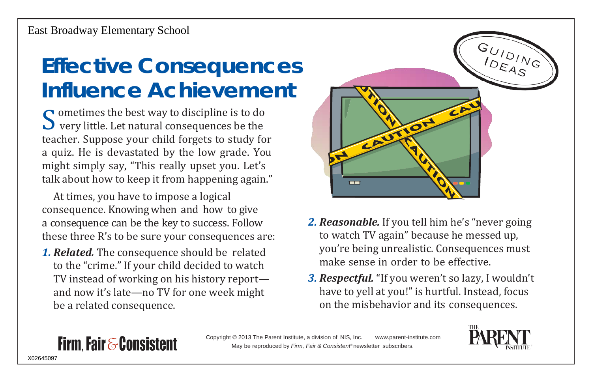## **Effective Consequences Influence Achievement**

 $\sum_{\text{tea}}$ ometimes the best way to discipline is to do very little. Let natural consequences be the teacher. Suppose your child forgets to study for a quiz. He is devastated by the low grade. You might simply say, "This really upset you. Let's talk about how to keep it from happening again."

At times, you have to impose a logical consequence. Knowing when and how to give a consequence can be the key to success. Follow these three R's to be sure your consequences are:

*1. Related.* The consequence should be related to the "crime." If your child decided to watch TV instead of working on his history report and now it's late—no TV for one week might be a related consequence.

**Firm Fair & Consistent** 



- *2. Reasonable.* If you tell him he's "never going to watch TV again" because he messed up, you're being unrealistic. Consequences must make sense in order to be effective.
- *3. Respectful.* "If you weren't so lazy, I wouldn't have to yell at you!" is hurtful. Instead, focus on the misbehavior and its consequences.



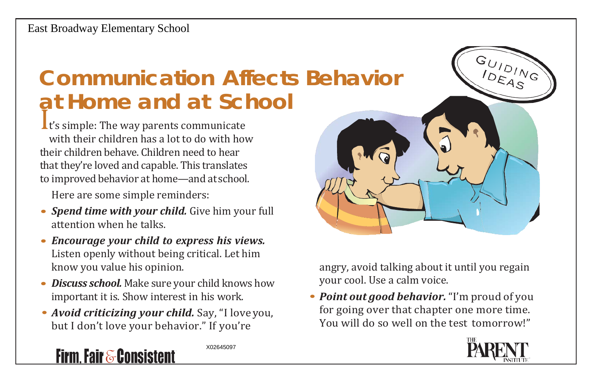# **Communication Affects Behavior at Home and at School**

I t's simple: The way parents communicate with their children has a lot to do with how their children behave. Children need to hear that they're loved and capable. This translates to improved behavior at home—and at school.

Here are some simple reminders:

- *• Spend time with your child.* Give him your full attention when he talks.
- *• Encourage your child to express his views.* Listen openly without being critical. Let him know you value his opinion.
- *• Discuss school.* Make sure your child knows how important it is. Show interest in his work.
- *• Avoid criticizing your child.* Say, "I love you, but I don't love your behavior." If you're

X02645097

angry, avoid talking about it until you regain your cool. Use a calm voice.

*• Point out good behavior.*"I'm proud of you for going over that chapter one more time. You will do so well on the test tomorrow!"



 $G_{U/D/N_G}$ 

#### **Firm, Fair & Consistent**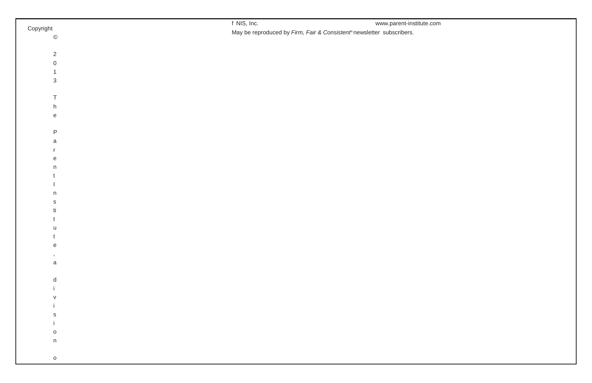|                                            | f NIS, Inc.<br>www.parent-institute.com                              |
|--------------------------------------------|----------------------------------------------------------------------|
| Copyright                                  | May be reproduced by Firm, Fair & Consistent®newsletter subscribers. |
| $\copyright$                               |                                                                      |
|                                            |                                                                      |
| $\overline{2}$                             |                                                                      |
| $\mathsf{O}\xspace$                        |                                                                      |
| $\mathbf{1}$                               |                                                                      |
| $\mathbf{3}$                               |                                                                      |
|                                            |                                                                      |
| T                                          |                                                                      |
| h                                          |                                                                      |
| $\mathsf{e}% _{0}\left( \mathsf{e}\right)$ |                                                                      |
|                                            |                                                                      |
| $\mathsf P$                                |                                                                      |
| a                                          |                                                                      |
| $\mathbf{r}$                               |                                                                      |
| $\mathbf{e}$                               |                                                                      |
| n                                          |                                                                      |
|                                            |                                                                      |
|                                            |                                                                      |
| $\mathsf{n}$                               |                                                                      |
| $\mathsf{s}$                               |                                                                      |
| ti                                         |                                                                      |
|                                            |                                                                      |
| u                                          |                                                                      |
|                                            |                                                                      |
| e                                          |                                                                      |
| $^\mathrm{s}$                              |                                                                      |
| $\mathsf a$                                |                                                                      |
|                                            |                                                                      |
| d                                          |                                                                      |
|                                            |                                                                      |
| $\vee$                                     |                                                                      |
|                                            |                                                                      |
| s                                          |                                                                      |
|                                            |                                                                      |
| $\mathsf{o}$                               |                                                                      |
| $\mathsf n$                                |                                                                      |
|                                            |                                                                      |
| $\circ$                                    |                                                                      |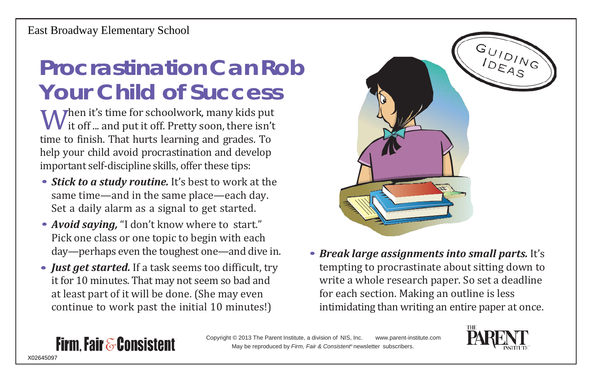### **ProcrastinationCanRob Your Child of Success**

**W** it off ... and put it off. Pretty soon, there isn't time to finish. That hurts learning and grades. To Then it's time for schoolwork, many kids put  $\boldsymbol{V}$  it off ... and put it off. Pretty soon, there isn't help your child avoid procrastination and develop important self-discipline skills, offer these tips:

- *Stick to a study routine.* It's best to work at the same time—and in the same place—each day. Set a daily alarm as a signal to get started.
- *• Avoid saying,* "I don't know where to start." Pick one class or one topic to begin with each day—perhaps even the toughest one—and dive in.
- *• Just get started.* If a task seems too difficult, try it for 10 minutes. That may not seem so bad and at least part of it will be done. (She may even continue to work past the initial 10 minutes!)

**Firm. Fair & Consistent** 



*• Break large assignments into small parts.* It's tempting to procrastinate about sitting down to write a whole research paper. So set a deadline for each section. Making an outline is less intimidating than writing an entire paper at once.

Copyright © 2013 The Parent Institute, a division of NIS, Inc. [www.parent-institute.com](http://www.parent-institute.com/) May be reproduced by *Firm, Fair & Consistent®* newsletter subscribers.

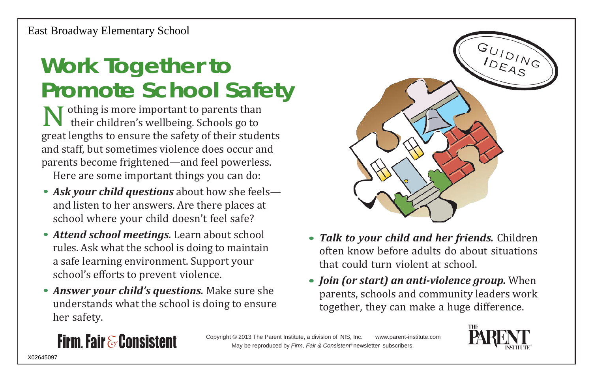## **Work Together to Promote School Safety**

**N** othing is more important to parents than<br>their children's wellbeing. Schools go to<br>great lengths to ensure the safety of their stude their children's wellbeing. Schools go to great lengths to ensure the safety of their students and staff, but sometimes violence does occur and parents become frightened—and feel powerless.

Here are some important things you can do:

- *Ask your child questions* about how she feels and listen to her answers. Are there places at school where your child doesn't feel safe?
- *• Attend school meetings.* Learn about school rules. Ask what the school is doing to maintain a safe learning environment. Support your school's efforts to prevent violence.
- *• Answer your child's questions.* Make sure she understands what the school is doing to ensure her safety.



- *• Talk to your child and her friends.* Children often know before adults do about situations that could turn violent at school.
- *• Join (or start) an anti-violence group.* When parents, schools and community leaders work together, they can make a huge difference.

#### **Firm. Fair & Consistent**

Copyright © 2013 The Parent Institute, a division of NIS, Inc. [www.parent-institute.com](http://www.parent-institute.com/) May be reproduced by *Firm, Fair & Consistent®* newsletter subscribers.